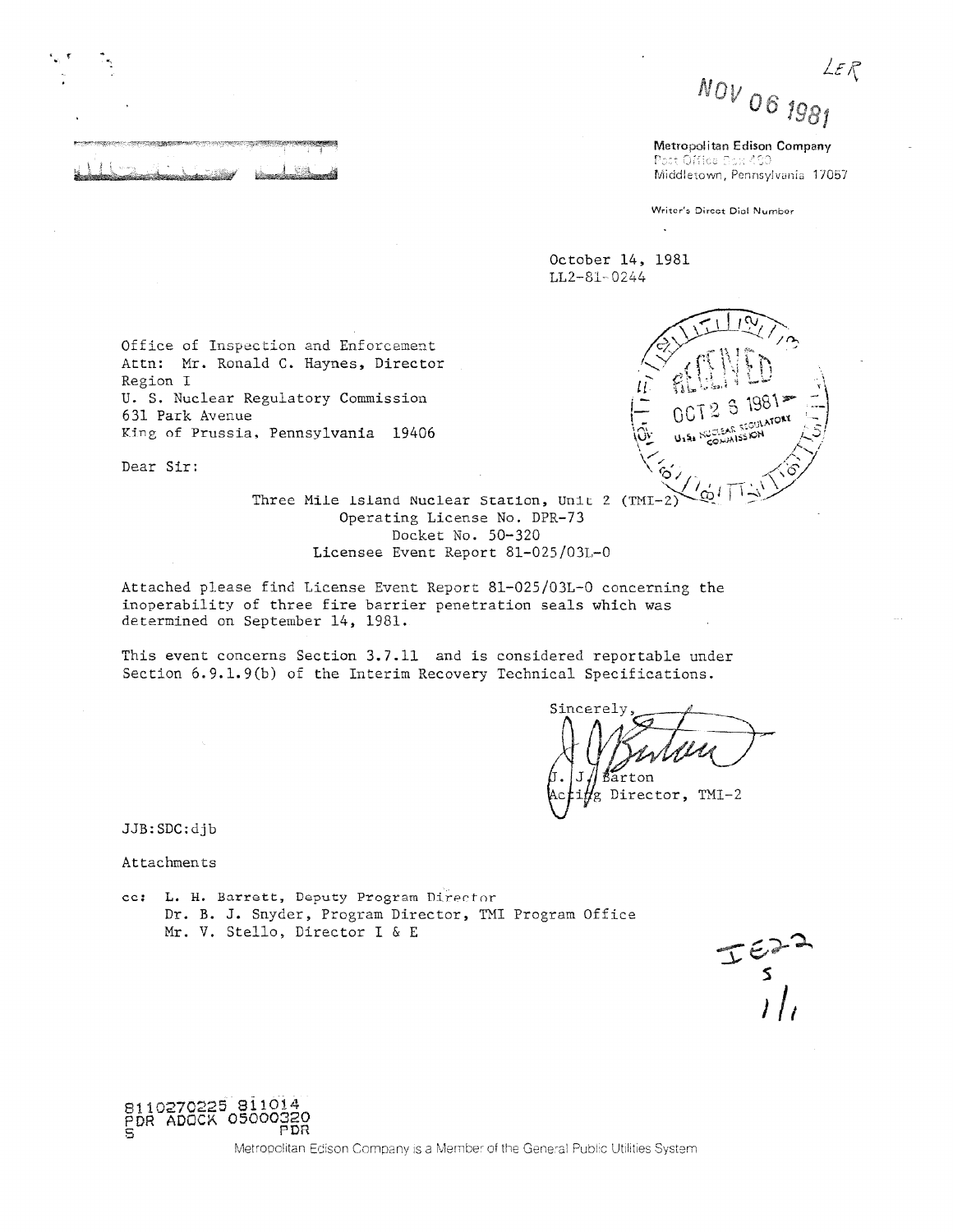LE R  $NOV_{O6}$  1981

Metropolitan Edison Company Post Office Box 490 Middletown, Pennsylvania 17057

Writer's Direct Dial Number

დ≀

October 14, 1981 LL2-81-0244

Office of Inspection and Enforcement Attn: Mr. Ronald C. Haynes, Director Region I U. S. Nuclear Regulatory Commission 631 Park Avenue King of Prussia, Pennsylvania 19406

Dear Sir:

Three Mile 1sland Nuclear Station, Unit 2 (TMI-2) Operating License No. DPR-73 Docket No. 50-320 Licensee Event Report 81-025/03L-0

Attached please find License Event Report 81-025/03L-0 concerning the inoperability of three fire barrier penetration seals which was determined on September 14, 1981.

This event concerns Section 3.7.11 and is considered reportable under Section 6.9.1.9(b) of the Interim Recovery Technical Specifications.

Sincerel Director, TMI-2

JJB:SDC:djb

Attachments

cc: L. H. Barrett, Deputy Program Director Dr. B. J. Snyder, Program Director, TMI Program Office Mr. V. Stello, Director I & E

 $T \frac{\epsilon}{s}$ 

8110270225 81101<br>PDR ADOCK 050003

Metropolitan Edison Company is a Member of the General Public Utilities System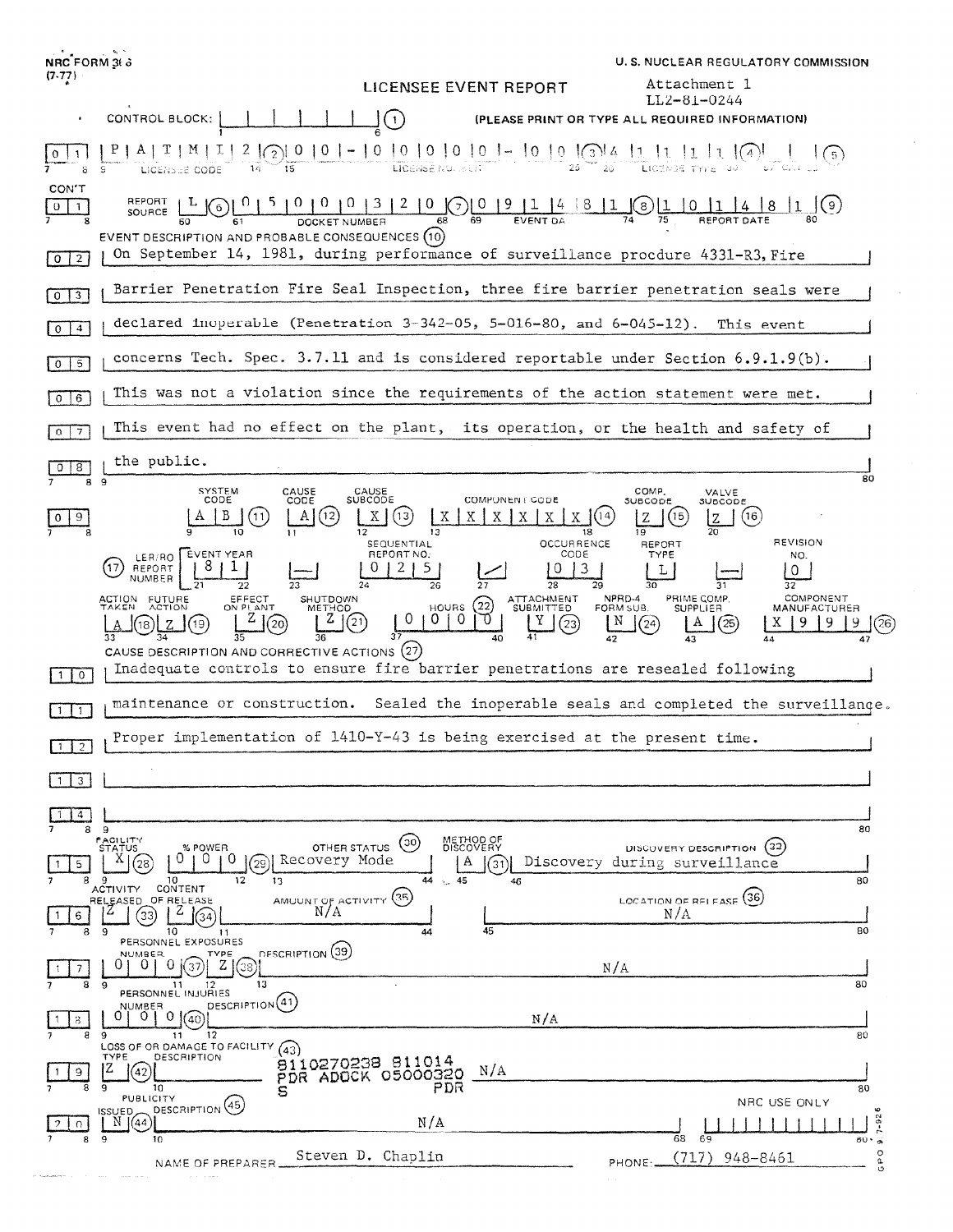| NRC FORM 36 3                                                                                                                                                                                                                                                                                                                                                                                                                           | U.S. NUCLEAR REGULATORY COMMISSION                                                                                                                                                                                                                |
|-----------------------------------------------------------------------------------------------------------------------------------------------------------------------------------------------------------------------------------------------------------------------------------------------------------------------------------------------------------------------------------------------------------------------------------------|---------------------------------------------------------------------------------------------------------------------------------------------------------------------------------------------------------------------------------------------------|
| $(7-77)$                                                                                                                                                                                                                                                                                                                                                                                                                                | Attachment 1<br>LICENSEE EVENT REPORT<br>LL2-81-0244                                                                                                                                                                                              |
| CONTROL BLOCK:                                                                                                                                                                                                                                                                                                                                                                                                                          | (1)<br>(PLEASE PRINT OR TYPE ALL REQUIRED INFORMATION)                                                                                                                                                                                            |
| $2$ $\binom{2}{2}$ 0   0   -<br>់រិទី                                                                                                                                                                                                                                                                                                                                                                                                   |                                                                                                                                                                                                                                                   |
| CON'T<br>REPORT<br>$\sqrt{6}$<br>$0$   1<br>SOURCE L<br>EVENT DESCRIPTION AND PROBABLE CONSEQUENCES (10)                                                                                                                                                                                                                                                                                                                                | $\frac{5}{10} \frac{0}{10} \frac{0}{10} \frac{1}{10} \frac{3}{12} \frac{2}{10} \frac{0}{68} \frac{0}{10} \frac{9}{12} \frac{1}{14} \frac{4}{15} \frac{8}{11} \frac{1}{10} \frac{1}{15} \frac{1}{15} \frac{1}{15} \frac{1}{14} \frac{8}{15}$<br>80 |
| On September 14, 1981, during performance of surveillance procdure 4331-R3, Fire<br>$0$   2                                                                                                                                                                                                                                                                                                                                             |                                                                                                                                                                                                                                                   |
| Barrier Penetration Fire Seal Inspection, three fire barrier penetration seals were<br>$0$   3                                                                                                                                                                                                                                                                                                                                          |                                                                                                                                                                                                                                                   |
| $0\sqrt{4}$                                                                                                                                                                                                                                                                                                                                                                                                                             | declared inoperable (Penetration $3-342-05$ , $5-016-80$ , and $6-045-12$ ).<br>This event                                                                                                                                                        |
| concerns Tech. Spec. 3.7.11 and is considered reportable under Section 6.9.1.9(b).<br>$5\overline{)}$<br>0                                                                                                                                                                                                                                                                                                                              |                                                                                                                                                                                                                                                   |
| This was not a violation since the requirements of the action statement were met.<br><b>6</b><br>$\circ$                                                                                                                                                                                                                                                                                                                                |                                                                                                                                                                                                                                                   |
| This event had no effect on the plant, its operation, or the health and safety of<br>$\Omega$<br>7                                                                                                                                                                                                                                                                                                                                      |                                                                                                                                                                                                                                                   |
| the public.<br>8<br>89                                                                                                                                                                                                                                                                                                                                                                                                                  | 80                                                                                                                                                                                                                                                |
| SYSTEM<br>CAUSE<br>CODE<br>CODE<br>(12)<br>11<br>11                                                                                                                                                                                                                                                                                                                                                                                     | COMP.<br>CAUSE<br>SUBCODE<br>VALVE<br><b>COMPUNENT CODE</b><br>SUBCODE<br>SUBCODE<br>Χ.<br>$X \mid X$<br>(16)<br>13<br>Χ<br>X.<br>X<br>19<br>12<br>13<br>18<br>REVISION<br><b>OCCURRENCE</b><br>SEQUENTIAL<br>REPORT                              |
| EVENT YEAR<br>LER/RO<br>17.<br>REPORT<br>NUMBER<br>22                                                                                                                                                                                                                                                                                                                                                                                   | REPORT NO:<br>CODE<br>TYPE<br>NO.<br>3<br>0<br>28<br>32                                                                                                                                                                                           |
| COMPONENT<br>EFFECT<br>ON PLANT<br>ATTACHMENT<br>NPRD-4<br>PRIME COMP.<br>ACTION FUTURE<br>TAKEN ACTION<br><b>SHUTDOWN</b><br>HOURS $(22)$<br>SUBMITTED<br>FORM SUB.<br><b>SUPPLIER</b><br><b>METHOD</b><br>MANUFACTURER<br>უ<br>0<br>0<br>-0<br>(21)<br>N<br>20<br>(25)<br>(24)<br>X.<br>(23)<br>26<br>CAUSE DESCRIPTION AND CORRECTIVE ACTIONS (27)<br>Inadequate controls to ensure fire barrier penetrations are resealed following |                                                                                                                                                                                                                                                   |
| $\circ$<br>$\vert$ 1                                                                                                                                                                                                                                                                                                                                                                                                                    |                                                                                                                                                                                                                                                   |
| Sealed the inoperable seals and completed the surveillange.<br>maintenance or construction.<br>$\vert$ 1                                                                                                                                                                                                                                                                                                                                |                                                                                                                                                                                                                                                   |
| Proper implementation of $1410-Y-43$ is being exercised at the present time.                                                                                                                                                                                                                                                                                                                                                            |                                                                                                                                                                                                                                                   |
| 3 <sup>1</sup>                                                                                                                                                                                                                                                                                                                                                                                                                          |                                                                                                                                                                                                                                                   |
| $\overline{4}$<br>9<br>8                                                                                                                                                                                                                                                                                                                                                                                                                | 80                                                                                                                                                                                                                                                |
| <b>FACILITY</b><br>OTHER STATUS<br><b>STATUS</b><br>% POWER<br>ΧI<br>0<br>U<br>Recovery Mode<br>(28<br>29<br>5.<br>12<br>8<br>٠Q<br>10<br>13                                                                                                                                                                                                                                                                                            | METHOD OF<br>DISCOVERY<br>$\left( \circ \circ \right)$<br>DISCOVERY DESCRIPTION<br>Discovery during surveillance<br>А<br>31<br>44<br>$\sim 45$<br>80<br>46                                                                                        |
| CONTENT<br>ACTIVITY<br>AMUUNT OF ACTIVITY (35)<br>RELEASED OF RELEASE<br>N/A<br>33<br>34<br>6                                                                                                                                                                                                                                                                                                                                           | LOCATION OF RELEASE (36)<br>N/A                                                                                                                                                                                                                   |
| 10<br>8<br>9<br>11<br>PERSONNEL EXPOSURES<br>DESCRIPTION (39)<br>NUMBER.<br>TYPE                                                                                                                                                                                                                                                                                                                                                        | 80<br>45<br>44                                                                                                                                                                                                                                    |
| $Z \mid$<br>$\Omega$<br>U.<br>1(37)<br>(38)<br>7<br>13<br>8<br>12<br>- 9<br>11                                                                                                                                                                                                                                                                                                                                                          | N/A<br>80                                                                                                                                                                                                                                         |
| PERSONNEL INJURIES<br>DESCRIPTION <sup>(41)</sup><br><b>NUMBER</b><br>$0   0  $ (40)<br>01                                                                                                                                                                                                                                                                                                                                              | N/A                                                                                                                                                                                                                                               |
| 12<br>9<br>11<br>LOSS OF OR DAMAGE TO FACILITY<br>(43)<br>TYPE<br>DESCRIPTION                                                                                                                                                                                                                                                                                                                                                           | 80<br>8110270238 811014                                                                                                                                                                                                                           |
| IZ.<br>9<br>(42<br>$\mathbf{9}$<br>8<br>10<br>s<br><b>PUBLICITY</b>                                                                                                                                                                                                                                                                                                                                                                     | N/A<br>PDR ADOCK 05000320<br>PDR<br>80                                                                                                                                                                                                            |
| DESCRIPTION <sup>(45)</sup><br>ISSUED.<br>N 1(44                                                                                                                                                                                                                                                                                                                                                                                        | NRC USE ONLY<br>۱O<br>$7 - 92$<br>N/A                                                                                                                                                                                                             |
| 8<br>9<br>10<br>NAME OF PREPARER                                                                                                                                                                                                                                                                                                                                                                                                        | 68<br>69<br>$80 \cdot 5$<br>$\circ$<br>Steven D. Chaplin<br>(717)<br>948-8461<br>ه<br>PHONE:                                                                                                                                                      |
|                                                                                                                                                                                                                                                                                                                                                                                                                                         |                                                                                                                                                                                                                                                   |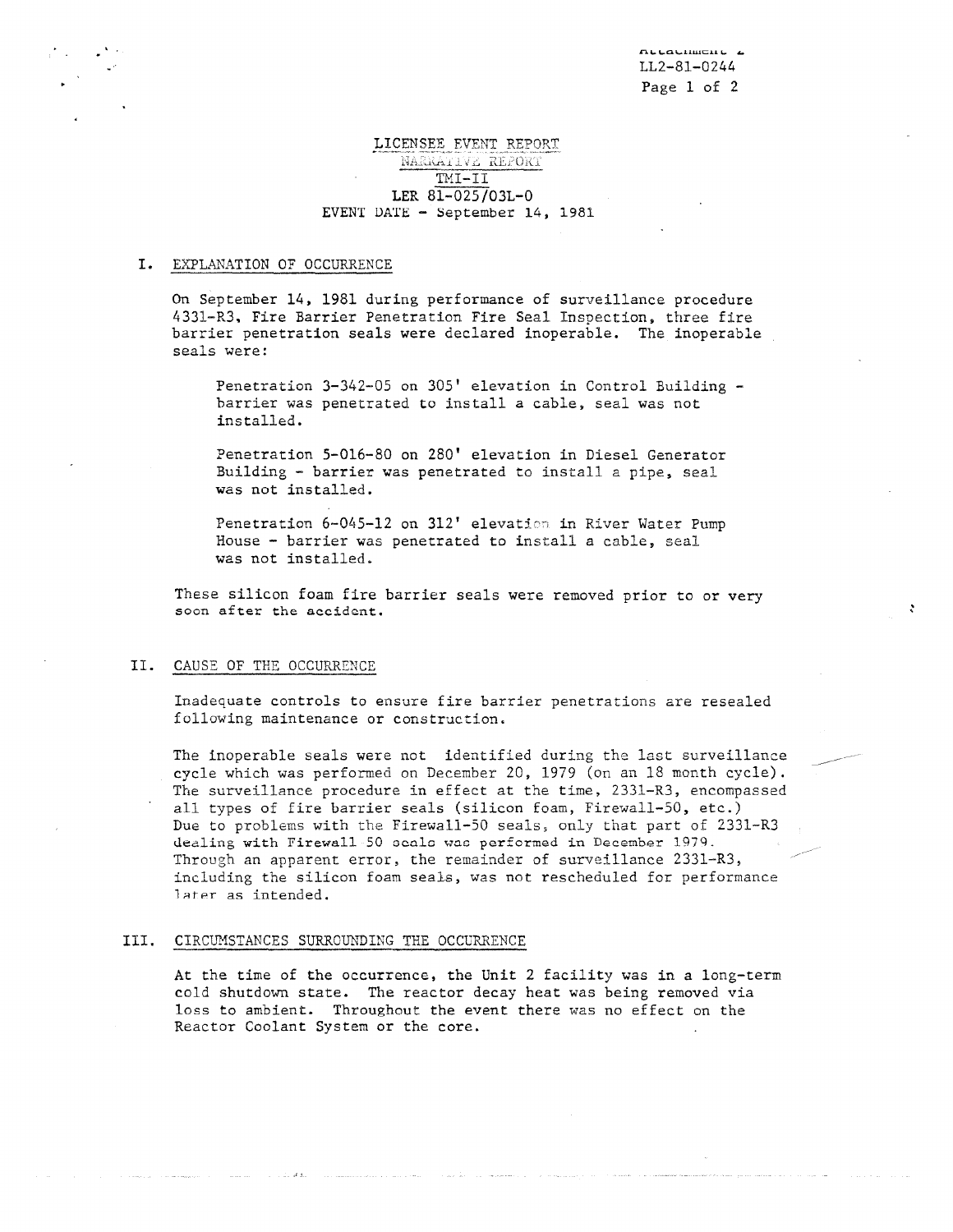\_-

# LICENSEE EVENT REPORT NARRATIVE REPORT TMI-II LER 81-025/03L-0 EVENT DATE - September 14, 1981

#### I. EXPLANATION OF OCCURRENCE

.

On September 14, 1981 during performance of surveillance procedure 4331-R3, Fire Barrier Penetration Fire Seal Inspection, three fire barrier penetration seals were declared inoperable. The inoperable seals were:

Penetration 3-342-05 on 305' elevation in Control Building barrier was penetrated to install a cable, seal was not installed.

Penetration 5-016-80 on 280' elevation in Diesel Generator Building - barrier was penetrated to install a pipe, seal was not installed.

Penetration 6-045-12 on 312' elevation in River Water Pump House - barrier was penetrated to install a cable, seal was not installed.

These silicon foam fire barrier seals were removed prior to or very soon after the accident.

### II. CAUSE OF THE OCCURRENCE

Inadequate controls to ensure fire barrier penetrations are resealed following maintenance or construction.

The inoperable seals were not identified during the last surveillance cycle which was performed on December 20, 1979 (on an 18 month cycle) The surveillance procedure in effect at the time, 2331-R3, encompassed all types of fire barrier seals (silicon foam, Firewall-50, etc.) Due to problems with the Firewall-50 seals, only that part of 2331-R3 dealing with Firewall 50 scals was performed in December 1979. Through an apparent error, the remainder of surveillance 2331-R3, including the silicon foam seals, was not rescheduled for performance later as intended. \_-

### III. CIRCUMSTANCES SURROUNDING THE OCCURRENCE

At the time of the occurrence, the Unit 2 facility was in a long-term cold shutdown state. The reactor decay heat was being removed via loss to ambient. Throughout the event there was no effect on the Reactor Coolant System or the core.